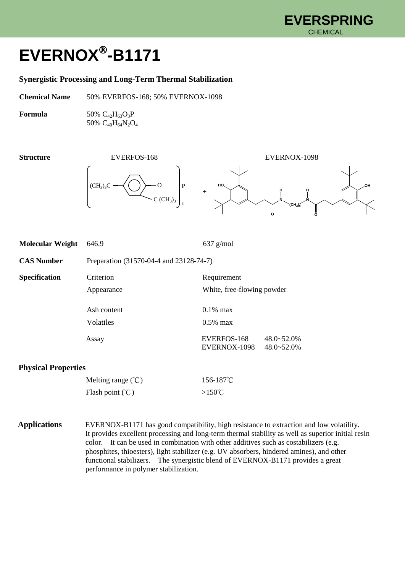## **EVERNOX -B1171**

## **Synergistic Processing and Long-Term Thermal Stabilization**

**Chemical Name** 50% EVERFOS-168; 50% EVERNOX-1098

**Formula** 50%  $C_{42}H_{63}O_3P$ 50% C40H64N2O<sup>4</sup>

 $(CH_3)_3C \longrightarrow ( ) \longrightarrow O \qquad | P$  $C (CH<sub>3</sub>)<sub>3</sub>$ 



| <b>Molecular Weight</b>    | 646.9                                   | $637$ g/mol                                                                |
|----------------------------|-----------------------------------------|----------------------------------------------------------------------------|
| <b>CAS Number</b>          | Preparation (31570-04-4 and 23128-74-7) |                                                                            |
| <b>Specification</b>       | Criterion<br>Appearance                 | Requirement<br>White, free-flowing powder                                  |
|                            | Ash content                             | $0.1\%$ max                                                                |
|                            | Volatiles<br>Assay                      | $0.5\%$ max<br>EVERFOS-168<br>$48.0 - 52.0%$<br>EVERNOX-1098<br>48.0~52.0% |
| <b>Physical Properties</b> |                                         |                                                                            |
|                            | Melting range $({}^{\circ}\!C)$         | 156-187°C                                                                  |

3

Melting range (℃) 156-187℃ Flash point  $({}^{\circ}\text{C})$  >150 $^{\circ}\text{C}$ 

**Applications** EVERNOX-B1171 has good compatibility, high resistance to extraction and low volatility. It provides excellent processing and long-term thermal stability as well as superior initial resin color. It can be used in combination with other additives such as costabilizers (e.g. phosphites, thioesters), light stabilizer (e.g. UV absorbers, hindered amines), and other functional stabilizers. The synergistic blend of EVERNOX-B1171 provides a great performance in polymer stabilization.